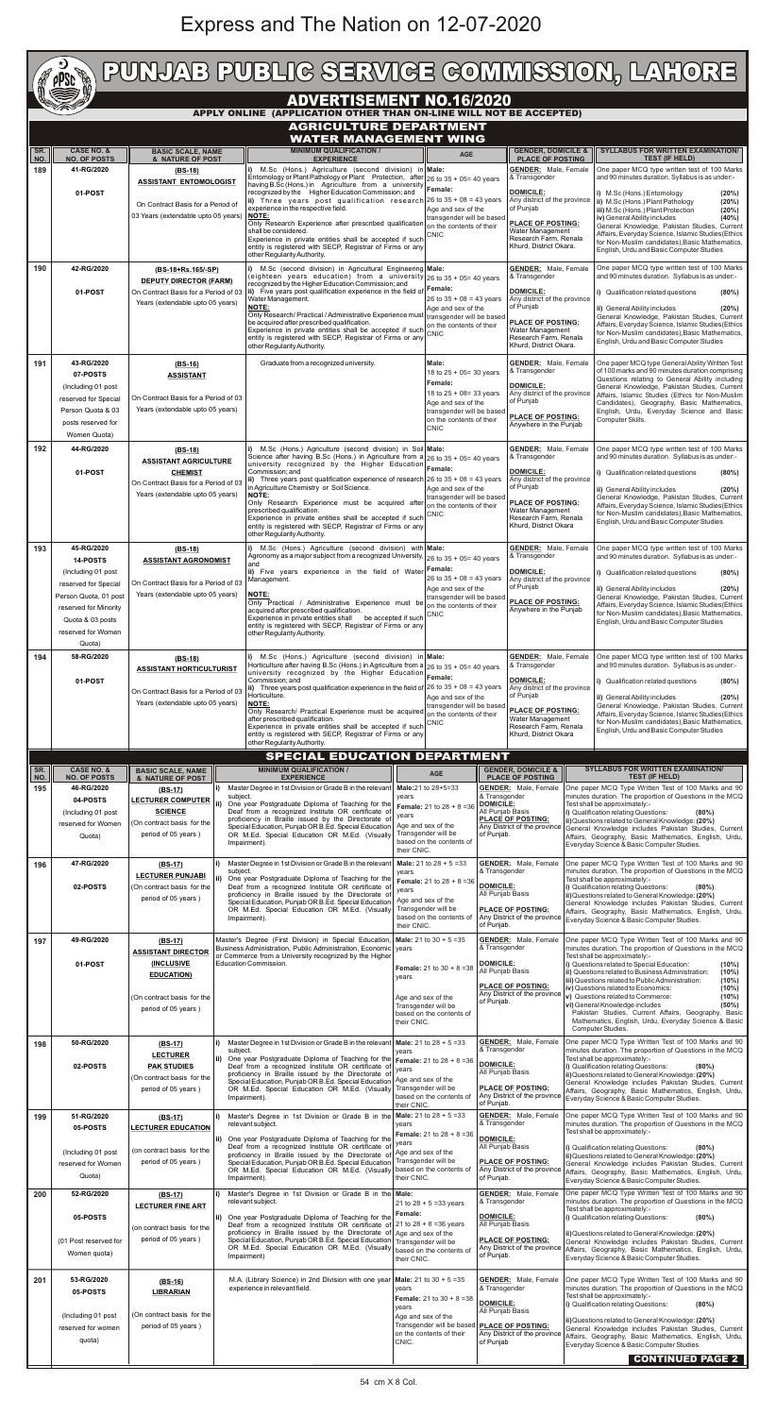## Express and The Nation on 12-07-2020

|                                                                                                       | $\bigstar$<br>PUNJAB PUBLIG SERVIGE GOMMISSION, LAHORE<br><b>CONTROL</b><br><b>pPSc</b> |                                                                                                                                                                                                  |                   |                                                                                                                                                                                                |                                                                                                                                          |                                                                               |                                                                             |                                                                                                                                                                                             |                                                                                                                                                                                                                         |                                                                                                                                                                                                                                                                                  |  |  |
|-------------------------------------------------------------------------------------------------------|-----------------------------------------------------------------------------------------|--------------------------------------------------------------------------------------------------------------------------------------------------------------------------------------------------|-------------------|------------------------------------------------------------------------------------------------------------------------------------------------------------------------------------------------|------------------------------------------------------------------------------------------------------------------------------------------|-------------------------------------------------------------------------------|-----------------------------------------------------------------------------|---------------------------------------------------------------------------------------------------------------------------------------------------------------------------------------------|-------------------------------------------------------------------------------------------------------------------------------------------------------------------------------------------------------------------------|----------------------------------------------------------------------------------------------------------------------------------------------------------------------------------------------------------------------------------------------------------------------------------|--|--|
| <b>ADVERTISEMENT NO.16/2020</b><br>APPLY ONLINE (APPLICATION OTHER THAN ON-LINE WILL NOT BE ACCEPTED) |                                                                                         |                                                                                                                                                                                                  |                   |                                                                                                                                                                                                |                                                                                                                                          |                                                                               |                                                                             |                                                                                                                                                                                             |                                                                                                                                                                                                                         |                                                                                                                                                                                                                                                                                  |  |  |
|                                                                                                       |                                                                                         |                                                                                                                                                                                                  |                   | <b>AGRICULTURE DEPARTMENT</b><br><b>WATER MANAGEMENT WING</b>                                                                                                                                  |                                                                                                                                          |                                                                               |                                                                             |                                                                                                                                                                                             |                                                                                                                                                                                                                         |                                                                                                                                                                                                                                                                                  |  |  |
| SR.<br>NO.                                                                                            | <b>CASE NO. &amp;</b><br><b>NO. OF POSTS</b>                                            | <b>BASIC SCALE, NAME</b><br>& NATURE OF POST                                                                                                                                                     |                   | <b>MINIMUM QUALIFICATION /</b><br><b>EXPERIENCE</b>                                                                                                                                            |                                                                                                                                          | <b>AGE</b>                                                                    |                                                                             | <b>GENDER, DOMICILE &amp;</b><br><b>PLACE OF POSTING</b>                                                                                                                                    |                                                                                                                                                                                                                         | <b>SYLLABUS FOR WRITTEN EXAMINATION/</b><br><b>TEST (IF HELD)</b>                                                                                                                                                                                                                |  |  |
| 189                                                                                                   | 41-RG/2020                                                                              | $(BS-18)$<br><b>ASSISTANT ENTOMOLOGIST</b>                                                                                                                                                       |                   | i) M.Sc (Hons.) Agriculture (second division) in Male:<br>Entomology or Plant Pathology or Plant Protection, after                                                                             |                                                                                                                                          | 26 to $35 + 05 = 40$ years                                                    |                                                                             | <b>GENDER:</b> Male, Female<br>& Transgender                                                                                                                                                |                                                                                                                                                                                                                         | One paper MCQ type written test of 100 Marks<br>and 90 minutes duration. Syllabus is as under:-                                                                                                                                                                                  |  |  |
|                                                                                                       | 01-POST                                                                                 | On Contract Basis for a Period of                                                                                                                                                                |                   | having B.Sc (Hons.) in Agriculture from a university<br>recognized by the Higher Education Commission; and<br>ii) Three years post qualification research $26$ to $35 + 08 = 43$ years         |                                                                                                                                          | Female:                                                                       |                                                                             | <b>DOMICILE:</b><br>of Punjab                                                                                                                                                               |                                                                                                                                                                                                                         | i) M.Sc (Hons.) Entomology<br>(20%)<br>Any district of the province  ii) M.Sc (Hons.) Plant Pathology<br>(20%)                                                                                                                                                                   |  |  |
|                                                                                                       |                                                                                         | 03 Years (extendable upto 05 years)                                                                                                                                                              |                   | experience in the respective field.<br><b>NOTE:</b>                                                                                                                                            | Only Research Experience after prescribed qualification                                                                                  |                                                                               | Age and sex of the<br>transgender will be based<br>on the contents of their |                                                                                                                                                                                             | <b>PLACE OF POSTING:</b>                                                                                                                                                                                                | iii) M.Sc (Hons.) Plant Protection<br>(20%)<br>iv) General Ability includes<br>(40%)<br>General Knowledge, Pakistan Studies, Current                                                                                                                                             |  |  |
|                                                                                                       |                                                                                         |                                                                                                                                                                                                  |                   | shall be considered.<br>Experience in private entities shall be accepted if such<br>entity is registered with SECP, Registrar of Firms or any                                                  |                                                                                                                                          | <b>CNIC</b>                                                                   |                                                                             | Water Management<br>Research Farm, Renala<br>Khurd, District Okara.                                                                                                                         |                                                                                                                                                                                                                         | Affairs, Everyday Science, Islamic Studies (Ethics<br>for Non-Muslim candidates), Basic Mathematics,<br>English, Urdu and Basic Computer Studies                                                                                                                                 |  |  |
| 190                                                                                                   | 42-RG/2020                                                                              | (BS-18+Rs.165/-SP)                                                                                                                                                                               |                   | other Regularity Authority.                                                                                                                                                                    | i) M.Sc (second division) in Agricultural Engineering Male:<br>(eighteen years education) from a university $26$ to $35 + 05 = 40$ years |                                                                               |                                                                             | <b>GENDER:</b> Male, Female<br>& Transgender                                                                                                                                                |                                                                                                                                                                                                                         | One paper MCQ type written test of 100 Marks<br>and 90 minutes duration. Syllabus is as under:-                                                                                                                                                                                  |  |  |
|                                                                                                       | 01-POST                                                                                 | <b>DEPUTY DIRECTOR (FARM)</b><br>On Contract Basis for a Period of 03                                                                                                                            |                   | recognized by the Higher Education Commission; and<br>ii) Five years post qualification experience in the field of                                                                             | Female:<br>26 to $35 + 08 = 43$ years                                                                                                    |                                                                               | <b>DOMICILE:</b>                                                            |                                                                                                                                                                                             | i) Qualification related questions<br>(80%)                                                                                                                                                                             |                                                                                                                                                                                                                                                                                  |  |  |
|                                                                                                       |                                                                                         | Years (extendable upto 05 years)                                                                                                                                                                 |                   | Water Management.<br><b>NOTE:</b><br>Only Research/ Practical / Administrative Experience must                                                                                                 | Age and sex of the<br>transgender will be based<br>on the contents of their<br><b>CNIC</b>                                               |                                                                               |                                                                             | Any district of the province<br>of Punjab<br><b>PLACE OF POSTING:</b>                                                                                                                       |                                                                                                                                                                                                                         | ii) General Ability includes<br>(20%)<br>General Knowledge, Pakistan Studies, Current                                                                                                                                                                                            |  |  |
|                                                                                                       |                                                                                         |                                                                                                                                                                                                  |                   | be acquired after prescribed qualification.<br>Experience in private entities shall be accepted if such<br>entity is registered with SECP, Registrar of Firms or any                           |                                                                                                                                          |                                                                               |                                                                             | Water Management<br>Research Farm, Renala<br>Khurd, District Okara.                                                                                                                         |                                                                                                                                                                                                                         | Affairs, Everyday Science, Islamic Studies (Ethics<br>for Non-Muslim candidates), Basic Mathematics,<br>English, Urdu and Basic Computer Studies                                                                                                                                 |  |  |
| 191                                                                                                   | 43-RG/2020                                                                              | $(BS-16)$                                                                                                                                                                                        |                   | other Regularity Authority.<br>Graduate from a recognized university.                                                                                                                          |                                                                                                                                          | Male:                                                                         |                                                                             | <b>GENDER:</b> Male, Female                                                                                                                                                                 |                                                                                                                                                                                                                         | One paper MCQ type General Ability Written Test                                                                                                                                                                                                                                  |  |  |
|                                                                                                       | 07-POSTS<br>(Including 01 post                                                          | <b>ASSISTANT</b>                                                                                                                                                                                 |                   |                                                                                                                                                                                                |                                                                                                                                          | 18 to 25 + 05= 30 years<br>Female:                                            |                                                                             | & Transgender<br><b>DOMICILE:</b>                                                                                                                                                           |                                                                                                                                                                                                                         | of 100 marks and 90 minutes duration comprising<br>Questions relating to General Ability including<br>General Knowledge, Pakistan Studies, Current                                                                                                                               |  |  |
|                                                                                                       | reserved for Special<br>Person Quota & 03                                               | On Contract Basis for a Period of 03<br>Years (extendable upto 05 years)                                                                                                                         |                   |                                                                                                                                                                                                | 18 to $25 + 08 = 33$ years<br>Age and sex of the<br>transgender will be based                                                            |                                                                               |                                                                             | Any district of the province<br>of Punjab                                                                                                                                                   |                                                                                                                                                                                                                         | Affairs, Islamic Studies (Ethics for Non-Muslim<br>Candidates), Geography, Basic Mathematics,<br>English, Urdu, Everyday Science and Basic                                                                                                                                       |  |  |
|                                                                                                       | posts reserved for<br>Women Quota)                                                      |                                                                                                                                                                                                  |                   |                                                                                                                                                                                                |                                                                                                                                          | on the contents of their<br><b>CNIC</b>                                       |                                                                             | <b>PLACE OF POSTING:</b><br>Anywhere in the Punjab                                                                                                                                          |                                                                                                                                                                                                                         | Computer Skills.                                                                                                                                                                                                                                                                 |  |  |
| 192                                                                                                   | 44-RG/2020                                                                              | $(BS-18)$                                                                                                                                                                                        |                   | i) M.Sc (Hons.) Agriculture (second division) in Soil Male:<br>Science after having B.Sc (Hons.) in Agriculture from a 26 to 35 + 05= 40 years                                                 |                                                                                                                                          |                                                                               | <b>GENDER:</b> Male, Female<br>& Transgender                                |                                                                                                                                                                                             |                                                                                                                                                                                                                         | One paper MCQ type written test of 100 Marks<br>and 90 minutes duration. Syllabus is as under:-                                                                                                                                                                                  |  |  |
|                                                                                                       | 01-POST                                                                                 | <b>ASSISTANT AGRICULTURE</b><br><b>CHEMIST</b><br>On Contract Basis for a Period of 03                                                                                                           |                   | university recognized by the Higher Education<br>Commission; and<br>ii) Three years post qualification experience of research                                                                  |                                                                                                                                          | Female:<br>26 to $35 + 08 = 43$ years                                         | <b>DOMICILE:</b><br>Any district of the province                            |                                                                                                                                                                                             |                                                                                                                                                                                                                         | i) Qualification related questions<br>(80%)                                                                                                                                                                                                                                      |  |  |
|                                                                                                       |                                                                                         | Years (extendable upto 05 years)                                                                                                                                                                 |                   | in Agriculture Chemistry or Soil Science.<br><b>NOTE:</b><br>Only Research Experience must be acquired after                                                                                   |                                                                                                                                          | Age and sex of the<br>transgender will be based<br>on the contents of their   |                                                                             | of Punjab<br><b>PLACE OF POSTING:</b>                                                                                                                                                       |                                                                                                                                                                                                                         | ii) General Ability includes<br>(20%)<br>General Knowledge, Pakistan Studies, Current<br>Affairs, Everyday Science, Islamic Studies (Ethics                                                                                                                                      |  |  |
|                                                                                                       |                                                                                         |                                                                                                                                                                                                  |                   | prescribed qualification.<br>Experience in private entities shall be accepted if such<br>entity is registered with SECP, Registrar of Firms or any                                             |                                                                                                                                          | <b>CNIC</b>                                                                   | Water Management<br>Research Farm, Renala<br>Khurd, District Okara          |                                                                                                                                                                                             |                                                                                                                                                                                                                         | for Non-Muslim candidates), Basic Mathematics,<br>English, Urdu and Basic Computer Studies                                                                                                                                                                                       |  |  |
| 193                                                                                                   | 45-RG/2020                                                                              | $(BS-18)$                                                                                                                                                                                        |                   | other Regularity Authority.<br>M.Sc (Hons.) Agriculture (second division) with Male:                                                                                                           |                                                                                                                                          |                                                                               |                                                                             | <b>GENDER:</b> Male, Female                                                                                                                                                                 |                                                                                                                                                                                                                         | One paper MCQ type written test of 100 Marks                                                                                                                                                                                                                                     |  |  |
|                                                                                                       | 14-POSTS<br>(Including 01 post)                                                         | <b>ASSISTANT AGRONOMIST</b>                                                                                                                                                                      |                   | Agronomy as a major subject from a recognized University, $ _{26}$ to 35 + 05= 40 years<br>and<br>ii) Five years experience in the field of Water                                              | Female:                                                                                                                                  |                                                                               |                                                                             | & Transgender<br><b>DOMICILE:</b>                                                                                                                                                           |                                                                                                                                                                                                                         | and 90 minutes duration. Syllabus is as under:-<br>i) Qualification related questions<br>(80%)                                                                                                                                                                                   |  |  |
|                                                                                                       | reserved for Special<br>Person Quota, 01 post                                           | On Contract Basis for a Period of 03<br>Years (extendable upto 05 years)                                                                                                                         |                   | Management.<br>NOTE:                                                                                                                                                                           |                                                                                                                                          | 26 to $35 + 08 = 43$ years<br>Age and sex of the<br>transgender will be based |                                                                             | Any district of the province<br>of Punjab                                                                                                                                                   |                                                                                                                                                                                                                         | ii) General Ability includes<br>(20%)<br>General Knowledge, Pakistan Studies, Current                                                                                                                                                                                            |  |  |
|                                                                                                       | reserved for Minority<br>Quota & 03 posts                                               |                                                                                                                                                                                                  |                   | Only Practical / Administrative Experience must be<br>acquired after prescribed qualification.<br>Experience in private entities shall                                                         | be accepted if such                                                                                                                      | on the contents of their<br><b>CNIC</b>                                       |                                                                             | <b>PLACE OF POSTING:</b><br>Anywhere in the Punjab                                                                                                                                          |                                                                                                                                                                                                                         | Affairs, Everyday Science, Islamic Studies(Ethics<br>for Non-Muslim candidates), Basic Mathematics,<br>English, Urdu and Basic Computer Studies                                                                                                                                  |  |  |
|                                                                                                       | reserved for Women<br>Quota)                                                            |                                                                                                                                                                                                  |                   | entity is registered with SECP, Registrar of Firms or any<br>other Regularity Authority.                                                                                                       |                                                                                                                                          |                                                                               |                                                                             |                                                                                                                                                                                             |                                                                                                                                                                                                                         |                                                                                                                                                                                                                                                                                  |  |  |
| 194                                                                                                   | 58-RG/2020                                                                              | $(BS-18)$                                                                                                                                                                                        |                   | i) M.Sc (Hons.) Agriculture (second division) in Male:<br>Horticulture after having B.Sc (Hons.) in Agriculture from a 26 to 35 + 05= 40 years                                                 | Female:<br>Age and sex of the<br>transgender will be based<br>on the contents of their                                                   |                                                                               | <b>GENDER:</b> Male, Female<br>& Transgender                                |                                                                                                                                                                                             | One paper MCQ type written test of 100 Marks<br>and 90 minutes duration. Syllabus is as under:-                                                                                                                         |                                                                                                                                                                                                                                                                                  |  |  |
|                                                                                                       | 01-POST                                                                                 | <b>ASSISTANT HORTICULTURIST</b><br>On Contract Basis for a Period of 0.                                                                                                                          |                   | university recognized by the Higher Education<br>Commission; and<br>ii) Three years post qualification experience in the field of $26$ to 35 + 08 = 43 years                                   |                                                                                                                                          |                                                                               |                                                                             | <b>DOMICILE:</b><br>Any district of the province                                                                                                                                            |                                                                                                                                                                                                                         | i) Qualification related questions<br>(80%)                                                                                                                                                                                                                                      |  |  |
|                                                                                                       |                                                                                         | Years (extendable upto 05 years)                                                                                                                                                                 |                   | Horticulture.<br><b>NOTE:</b><br>Only Research/ Practical Experience must be acquired                                                                                                          |                                                                                                                                          |                                                                               | of Punjab<br><b>PLACE OF POSTING:</b>                                       |                                                                                                                                                                                             | ii) General Ability includes<br>(20%)<br>General Knowledge, Pakistan Studies, Current<br>Affairs, Everyday Science, Islamic Studies(Ethics                                                                              |                                                                                                                                                                                                                                                                                  |  |  |
|                                                                                                       |                                                                                         |                                                                                                                                                                                                  |                   | after prescribed qualification.<br>Experience in private entities shall be accepted if such<br>entity is registered with SECP, Registrar of Firms or any                                       |                                                                                                                                          | <b>CNIC</b>                                                                   |                                                                             | Water Management<br>Research Farm, Renala<br>Khurd, District Okara                                                                                                                          |                                                                                                                                                                                                                         | for Non-Muslim candidates), Basic Mathematics,<br>English, Urdu and Basic Computer Studies                                                                                                                                                                                       |  |  |
|                                                                                                       |                                                                                         |                                                                                                                                                                                                  |                   | other Regularity Authority.<br><b>SPECIAL EDUCATION DEPARTMENT</b>                                                                                                                             |                                                                                                                                          |                                                                               |                                                                             |                                                                                                                                                                                             |                                                                                                                                                                                                                         |                                                                                                                                                                                                                                                                                  |  |  |
| SR.<br>NO.                                                                                            | <b>CASE NO. &amp;</b><br><b>NO. OF POSTS</b>                                            | <b>BASIC SCALE, NAME</b><br>& NATURE OF POST                                                                                                                                                     |                   | <b>MINIMUM QUALIFICATION /</b><br><b>EXPERIENCE</b>                                                                                                                                            |                                                                                                                                          | <b>AGE</b>                                                                    |                                                                             | <b>GENDER, DOMICILE &amp;</b><br><b>PLACE OF POSTING</b>                                                                                                                                    |                                                                                                                                                                                                                         | <b>SYLLABUS FOR WRITTEN EXAMINATION/</b><br><b>TEST (IF HELD)</b>                                                                                                                                                                                                                |  |  |
| 195                                                                                                   | 46-RG/2020<br>04-POSTS                                                                  | (BS-17)<br><b>LECTURER COMPUTER</b>                                                                                                                                                              | subject.<br>l ii) | Master Degree in 1st Division or Grade B in the relevant<br>One year Postgraduate Diploma of Teaching for the                                                                                  | years                                                                                                                                    | Male: 21 to 28+5=33<br><b>Female:</b> 21 to $28 + 8 = 36$                     | & Transgender<br><b>DOMICILE:</b><br>All Punjab Basis                       | <b>GENDER:</b> Male, Female                                                                                                                                                                 |                                                                                                                                                                                                                         | One paper MCQ Type Written Test of 100 Marks and 90<br>minutes duration. The proportion of Questions in the MCQ<br>Test shall be approximately:-                                                                                                                                 |  |  |
|                                                                                                       | (Including 01 post<br>reserved for Women                                                | <b>SCIENCE</b><br>(On contract basis for the<br>period of 05 years)                                                                                                                              |                   | Deaf from a recognized Institute OR certificate of<br>proficiency in Braille issued by the Directorate of<br>Special Education, Punjab OR B.Ed. Special Education                              | years                                                                                                                                    | Age and sex of the<br>Transgender will be                                     |                                                                             | <b>PLACE OF POSTING:</b>                                                                                                                                                                    |                                                                                                                                                                                                                         | i) Qualification relating Questions:<br>$(80\%)$<br>ii) Questions related to General Knowledge: (20%)<br>Any District of the province General Knowledge includes Pakistan Studies, Current                                                                                       |  |  |
|                                                                                                       | Quota)                                                                                  |                                                                                                                                                                                                  |                   | OR M.Ed. Special Education OR M.Ed. (Visually<br>Impairment).                                                                                                                                  | their CNIC.                                                                                                                              | based on the contents of                                                      | of Puniab.                                                                  |                                                                                                                                                                                             | Affairs, Geography, Basic Mathematics, English, Urdu,<br>Everyday Science & Basic Computer Studies.                                                                                                                     |                                                                                                                                                                                                                                                                                  |  |  |
| 196                                                                                                   | 47-RG/2020                                                                              | $(BS-17)$<br><b>LECTURER PUNJABI</b>                                                                                                                                                             | li).<br>subject.  | Master Degree in 1st Division or Grade B in the relevant<br>ii) One year Postgraduate Diploma of Teaching for the                                                                              | years                                                                                                                                    | <b>Male:</b> 21 to $28 + 5 = 33$                                              | <b>GENDER:</b> Male, Female<br>& Transgender                                |                                                                                                                                                                                             |                                                                                                                                                                                                                         | One paper MCQ Type Written Test of 100 Marks and 90<br>minutes duration. The proportion of Questions in the MCQ<br>Test shall be approximately:-                                                                                                                                 |  |  |
|                                                                                                       | 02-POSTS                                                                                | (On contract basis for the<br>period of 05 years)                                                                                                                                                |                   | Deaf from a recognized Institute OR certificate of<br>proficiency in Braille issued by the Directorate of<br>Special Education, Punjab OR B.Ed. Special Education                              | years                                                                                                                                    | <b>Female:</b> 21 to $28 + 8 = 36$<br>Age and sex of the                      | <b>DOMICILE:</b><br>All Punjab Basis                                        |                                                                                                                                                                                             |                                                                                                                                                                                                                         | i) Qualification relating Questions:<br>$(80\%)$<br>ii) Questions related to General Knowledge: (20%)                                                                                                                                                                            |  |  |
|                                                                                                       |                                                                                         |                                                                                                                                                                                                  |                   | OR M.Ed. Special Education OR M.Ed. (Visually<br>Impairment).                                                                                                                                  | their CNIC.                                                                                                                              | Transgender will be<br>based on the contents of                               | of Punjab.                                                                  | <b>PLACE OF POSTING:</b><br>Any District of the province                                                                                                                                    |                                                                                                                                                                                                                         | General Knowledge includes Pakistan Studies, Current<br>Affairs, Geography, Basic Mathematics, English, Urdu,<br>Everyday Science & Basic Computer Studies.                                                                                                                      |  |  |
| 197                                                                                                   | 49-RG/2020                                                                              | $(BS-17)$                                                                                                                                                                                        |                   | Master's Degree (First Division) in Special Education, Male: 21 to $30 + 5 = 35$<br>Business Administration, Public Administration, Economic years                                             |                                                                                                                                          | <b>Female:</b> 21 to $30 + 8 = 38$<br>Age and sex of the                      |                                                                             | <b>GENDER:</b> Male, Female<br>& Transgender<br><b>DOMICILE:</b><br>All Punjab Basis<br><b>PLACE OF POSTING:</b><br>Any District of the province $ v\rangle$ Questions related to Commerce: |                                                                                                                                                                                                                         | One paper MCQ Type Written Test of 100 Marks and 90<br>minutes duration. The proportion of Questions in the MCQ                                                                                                                                                                  |  |  |
|                                                                                                       | 01-POST                                                                                 | <b>ASSISTANT DIRECTOR</b><br><b>(INCLUSIVE</b>                                                                                                                                                   |                   | or Commerce from a University recognized by the Higher<br>Education Commission.                                                                                                                |                                                                                                                                          |                                                                               |                                                                             |                                                                                                                                                                                             |                                                                                                                                                                                                                         | Test shall be approximately:-<br>i) Questions related to Special Education:<br>(10%)<br>ii) Questions related to Business Administration:<br>(10%)<br>iii) Questions related to Public Administration:<br>(10%)<br><b>liv)</b> Questions related to Economics:<br>(10%)<br>(10%) |  |  |
|                                                                                                       |                                                                                         | <b>EDUCATION)</b><br>(On contract basis for the                                                                                                                                                  |                   |                                                                                                                                                                                                | years                                                                                                                                    |                                                                               |                                                                             |                                                                                                                                                                                             |                                                                                                                                                                                                                         |                                                                                                                                                                                                                                                                                  |  |  |
|                                                                                                       |                                                                                         | period of 05 years)                                                                                                                                                                              |                   |                                                                                                                                                                                                |                                                                                                                                          | Transgender will be<br>based on the contents of                               | of Punjab.                                                                  |                                                                                                                                                                                             |                                                                                                                                                                                                                         | vi) General Knowledge includes<br>(50%)<br>Pakistan Studies, Current Affairs, Geography, Basic<br>Mathematics, English, Urdu, Everyday Science & Basic                                                                                                                           |  |  |
| 198                                                                                                   | 50-RG/2020                                                                              | $(BS-17)$                                                                                                                                                                                        |                   | Master Degree in 1st Division or Grade B in the relevant   Male: 21 to $28 + 5 = 33$                                                                                                           | their CNIC.                                                                                                                              |                                                                               |                                                                             | <b>GENDER:</b> Male, Female                                                                                                                                                                 |                                                                                                                                                                                                                         | Computer Studies.<br>One paper MCQ Type Written Test of 100 Marks and 90                                                                                                                                                                                                         |  |  |
|                                                                                                       | 02-POSTS                                                                                | <b>LECTURER</b><br><b>PAK STUDIES</b>                                                                                                                                                            | subject.          | ii) One year Postgraduate Diploma of Teaching for the Female: 21 to $28 + 8 = 36$ DOMICILE:<br>Deaf from a recognized Institute OR certificate of                                              | vears                                                                                                                                    |                                                                               |                                                                             | & Transgender                                                                                                                                                                               |                                                                                                                                                                                                                         | minutes duration. The proportion of Questions in the MCQ<br>Test shall be approximately:-<br>i) Qualification relating Questions:<br>$(80\%)$                                                                                                                                    |  |  |
|                                                                                                       |                                                                                         | (On contract basis for the<br>period of 05 years)                                                                                                                                                |                   | proficiency in Braille issued by the Directorate of<br>Special Education, Punjab OR B.Ed. Special Education Age and sex of the<br>OR M.Ed. Special Education OR M.Ed. (Visually                |                                                                                                                                          | years<br>Transgender will be                                                  |                                                                             | All Punjab Basis<br><b>PLACE OF POSTING:</b>                                                                                                                                                |                                                                                                                                                                                                                         | ii) Questions related to General Knowledge: (20%)<br>General Knowledge includes Pakistan Studies, Current<br>Affairs, Geography, Basic Mathematics, English, Urdu,                                                                                                               |  |  |
|                                                                                                       |                                                                                         |                                                                                                                                                                                                  |                   | Impairment).                                                                                                                                                                                   |                                                                                                                                          | based on the contents of<br>their CNIC.                                       |                                                                             | Any District of the province<br>of Punjab.                                                                                                                                                  |                                                                                                                                                                                                                         | Everyday Science & Basic Computer Studies.                                                                                                                                                                                                                                       |  |  |
| 199                                                                                                   | 51-RG/2020<br>05-POSTS                                                                  | $(BS-17)$<br><b>LECTURER EDUCATION</b>                                                                                                                                                           |                   | Master's Degree in 1st Division or Grade B in the Male: 21 to $28 + 5 = 33$<br>relevant subject.                                                                                               | vears<br><b>Female:</b> 21 to $28 + 8 = 36$                                                                                              |                                                                               |                                                                             | <b>GENDER:</b> Male, Female<br>& Transgender<br><b>DOMICILE:</b>                                                                                                                            |                                                                                                                                                                                                                         | One paper MCQ Type Written Test of 100 Marks and 90<br>minutes duration. The proportion of Questions in the MCQ<br>Test shall be approximately:-                                                                                                                                 |  |  |
|                                                                                                       | (Including 01 post                                                                      | ii) One year Postgraduate Diploma of Teaching for the<br>Deaf from a recognized Institute OR certificate of<br>(on contract basis for the<br>proficiency in Braille issued by the Directorate of |                   |                                                                                                                                                                                                | years<br>Age and sex of the                                                                                                              |                                                                               |                                                                             | All Punjab Basis                                                                                                                                                                            |                                                                                                                                                                                                                         | i) Qualification relating Questions:<br>$(80\%)$<br>ii) Questions related to General Knowledge: (20%)                                                                                                                                                                            |  |  |
|                                                                                                       | reserved for Women<br>Quota)                                                            | period of 05 years)                                                                                                                                                                              |                   | Special Education, Punjab OR B.Ed. Special Education<br>OR M.Ed. Special Education OR M.Ed. (Visually<br>Impairment).                                                                          | Transgender will be<br>based on the contents of<br>their CNIC.                                                                           |                                                                               | <b>PLACE OF POSTING:</b><br>Any District of the province<br>of Punjab.      |                                                                                                                                                                                             |                                                                                                                                                                                                                         | General Knowledge includes Pakistan Studies, Current<br>Affairs, Geography, Basic Mathematics, English, Urdu,<br>Everyday Science & Basic Computer Studies.                                                                                                                      |  |  |
| 200                                                                                                   | 52-RG/2020                                                                              | $(BS-17)$<br><b>LECTURER FINE ART</b>                                                                                                                                                            | l i)              | Master's Degree in 1st Division or Grade B in the Male:<br>relevant subject.                                                                                                                   | 21 to $28 + 5 = 33$ years                                                                                                                |                                                                               | <b>GENDER:</b> Male, Female<br>& Transgender                                |                                                                                                                                                                                             | One paper MCQ Type Written Test of 100 Marks and 90<br>minutes duration. The proportion of Questions in the MCQ                                                                                                         |                                                                                                                                                                                                                                                                                  |  |  |
|                                                                                                       | 05-POSTS                                                                                | (on contract basis for the                                                                                                                                                                       |                   | ii) One year Postgraduate Diploma of Teaching for the<br>Deaf from a recognized Institute OR certificate of $21$ to $28 + 8 = 36$ years                                                        | Female:                                                                                                                                  |                                                                               |                                                                             | DOMICILE:<br>All Punjab Basis                                                                                                                                                               |                                                                                                                                                                                                                         | Test shall be approximately:-<br>(80%)<br>i) Qualification relating Questions:                                                                                                                                                                                                   |  |  |
|                                                                                                       | (01 Post reserved for<br>Women quota)                                                   | period of 05 years)                                                                                                                                                                              |                   | proficiency in Braille issued by the Directorate of Age and sex of the<br>Special Education, Punjab OR B.Ed. Special Education<br>OR M.Ed. Special Education OR M.Ed. (Visually<br>Impairment) | Transgender will be<br>based on the contents of<br>their CNIC.                                                                           |                                                                               | <b>PLACE OF POSTING:</b><br>Any District of the province<br>of Punjab.      |                                                                                                                                                                                             | (20%) lii) Questions related to General Knowledge: (20%)<br>General Knowledge includes Pakistan Studies, Current<br>Affairs, Geography, Basic Mathematics, English, Urdu,<br>Everyday Science & Basic Computer Studies. |                                                                                                                                                                                                                                                                                  |  |  |
| 201                                                                                                   | 53-RG/2020<br>05-POSTS                                                                  | $(BS-16)$<br><b>LIBRARIAN</b>                                                                                                                                                                    |                   | M.A. (Library Science) in 2nd Division with one year<br>experience in relevant field.                                                                                                          | vears                                                                                                                                    | <b>Male:</b> 21 to $30 + 5 = 35$                                              |                                                                             | <b>GENDER:</b> Male, Female<br>& Transgender                                                                                                                                                |                                                                                                                                                                                                                         | One paper MCQ Type Written Test of 100 Marks and 90<br>minutes duration. The proportion of Questions in the MCQ                                                                                                                                                                  |  |  |
|                                                                                                       | (Including 01 post                                                                      | (On contract basis for the                                                                                                                                                                       |                   | <b>Female:</b> 21 to $30 + 8 = 38$<br>vears<br>Age and sex of the                                                                                                                              |                                                                                                                                          |                                                                               | <b>DOMICILE:</b><br>All Punjab Basis                                        |                                                                                                                                                                                             | Test shall be approximately:-<br>i) Qualification relating Questions:<br>(80%)                                                                                                                                          |                                                                                                                                                                                                                                                                                  |  |  |
|                                                                                                       | reserved for women<br>quota)                                                            | period of 05 years)                                                                                                                                                                              |                   |                                                                                                                                                                                                |                                                                                                                                          | on the contents of their                                                      |                                                                             | Transgender will be based   PLACE OF POSTING:<br>Any District of the province                                                                                                               |                                                                                                                                                                                                                         | ii) Questions related to General Knowledge: (20%)<br>General Knowledge includes Pakistan Studies, Current<br>Affairs, Geography, Basic Mathematics, English, Urdu,                                                                                                               |  |  |
|                                                                                                       |                                                                                         |                                                                                                                                                                                                  |                   |                                                                                                                                                                                                | CNIC.                                                                                                                                    |                                                                               | of Punjab                                                                   |                                                                                                                                                                                             |                                                                                                                                                                                                                         | Everyday Science & Basic Computer Studies<br><b>CONTINUED PAGE 2</b>                                                                                                                                                                                                             |  |  |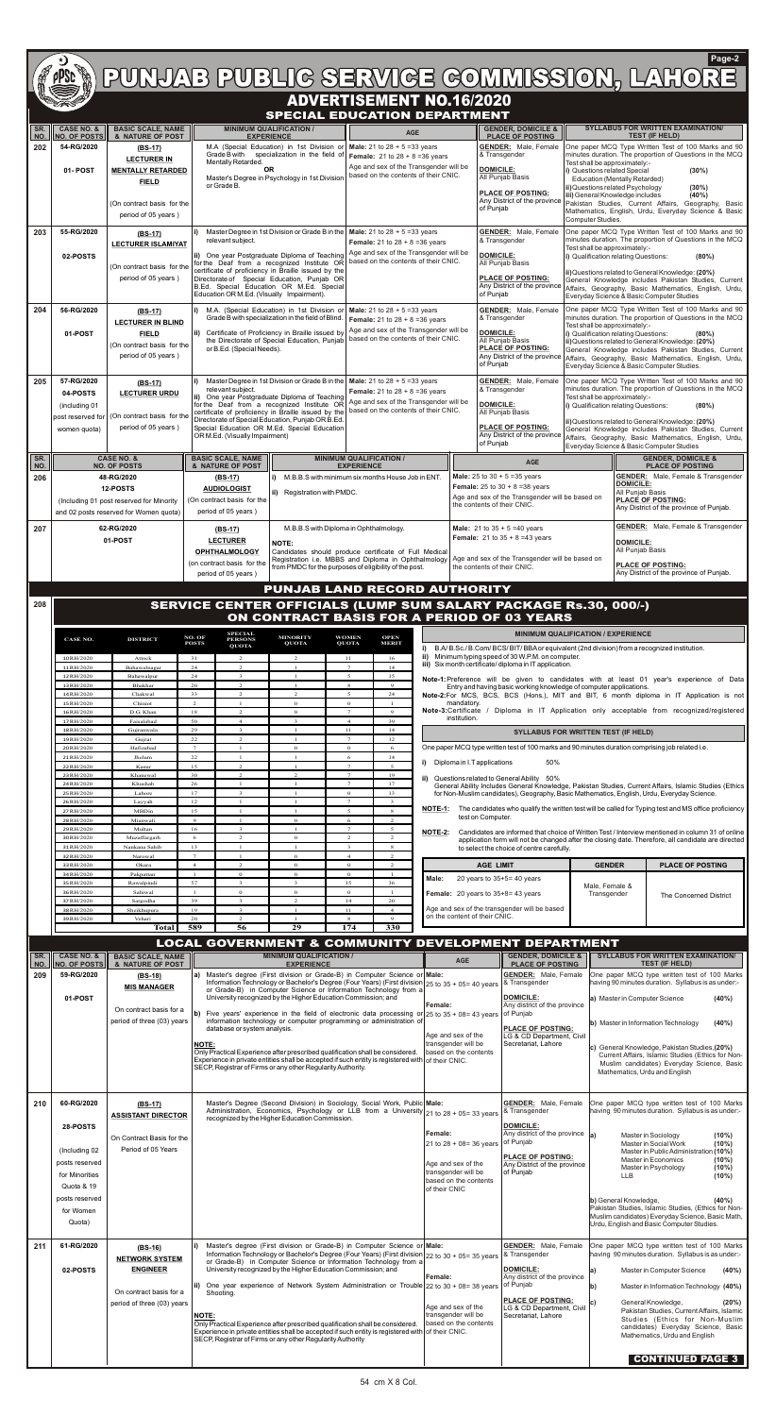## ADVERTISEMENT NO.16/2020



## **Page-2**

|            |                                              |                                                                                                                                                                                                                                                                                                                                                                                                                                       |                                                                                                                                                                                                                                       |                                                                                                                                          | <b>SPECIAL EDUCATION DEPARTMENT</b>                                                                                                                                         |                                                                                    |                                                                               |                                                                                                             |                                                                                                                                                                                                                                                                                                                  |                                                                                                                                                            |                                                                                                                                                                                                        |  |  |
|------------|----------------------------------------------|---------------------------------------------------------------------------------------------------------------------------------------------------------------------------------------------------------------------------------------------------------------------------------------------------------------------------------------------------------------------------------------------------------------------------------------|---------------------------------------------------------------------------------------------------------------------------------------------------------------------------------------------------------------------------------------|------------------------------------------------------------------------------------------------------------------------------------------|-----------------------------------------------------------------------------------------------------------------------------------------------------------------------------|------------------------------------------------------------------------------------|-------------------------------------------------------------------------------|-------------------------------------------------------------------------------------------------------------|------------------------------------------------------------------------------------------------------------------------------------------------------------------------------------------------------------------------------------------------------------------------------------------------------------------|------------------------------------------------------------------------------------------------------------------------------------------------------------|--------------------------------------------------------------------------------------------------------------------------------------------------------------------------------------------------------|--|--|
| SR.<br>NO. | <b>CASE NO. &amp;</b><br><b>NO. OF POSTS</b> | <b>BASIC SCALE, NAME</b><br>& NATURE OF POST                                                                                                                                                                                                                                                                                                                                                                                          | <b>MINIMUM QUALIFICATION /</b>                                                                                                                                                                                                        | <b>EXPERIENCE</b>                                                                                                                        | <b>AGE</b>                                                                                                                                                                  |                                                                                    |                                                                               | <b>GENDER, DOMICILE &amp;</b><br><b>PLACE OF POSTING</b>                                                    |                                                                                                                                                                                                                                                                                                                  |                                                                                                                                                            | <b>SYLLABUS FOR WRITTEN EXAMINATION/</b><br><b>TEST (IF HELD)</b>                                                                                                                                      |  |  |
| 202        | 54-RG/2020                                   | $(BS-17)$<br><b>LECTURER IN</b>                                                                                                                                                                                                                                                                                                                                                                                                       | M.A (Special Education) in 1st Division or<br>Grade B with specialization in the field of                                                                                                                                             |                                                                                                                                          | <b>Male:</b> 21 to $28 + 5 = 33$ years<br><b>Female:</b> 21 to $28 + 8 = 36$ years                                                                                          |                                                                                    | <b>GENDER:</b> Male, Female<br>& Transgender                                  |                                                                                                             |                                                                                                                                                                                                                                                                                                                  | One paper MCQ Type Written Test of 100 Marks and 90<br>minutes duration. The proportion of Questions in the MCQ                                            |                                                                                                                                                                                                        |  |  |
|            | 01-POST                                      | <b>MENTALLY RETARDED</b>                                                                                                                                                                                                                                                                                                                                                                                                              | Mentally Retarded.<br><b>OR</b><br>Master's Degree in Psychology in 1st Division                                                                                                                                                      |                                                                                                                                          | Age and sex of the Transgender will be<br>based on the contents of their CNIC.                                                                                              | <b>DOMICILE:</b><br>All Punjab Basis                                               |                                                                               |                                                                                                             | Test shall be approximately:-<br>i) Questions related Special<br>(30%)                                                                                                                                                                                                                                           |                                                                                                                                                            |                                                                                                                                                                                                        |  |  |
|            |                                              | <b>FIELD</b>                                                                                                                                                                                                                                                                                                                                                                                                                          | or Grade B.                                                                                                                                                                                                                           |                                                                                                                                          |                                                                                                                                                                             |                                                                                    |                                                                               | <b>PLACE OF POSTING:</b>                                                                                    | <b>Education (Mentally Retarded)</b><br>ii) Questions related Psychology                                                                                                                                                                                                                                         |                                                                                                                                                            | (30%)                                                                                                                                                                                                  |  |  |
|            |                                              | (On contract basis for the                                                                                                                                                                                                                                                                                                                                                                                                            |                                                                                                                                                                                                                                       |                                                                                                                                          |                                                                                                                                                                             |                                                                                    | of Puniab                                                                     | Any District of the province                                                                                |                                                                                                                                                                                                                                                                                                                  | iii) General Knowledge includes<br>$(40\%)$<br>Pakistan Studies, Current Affairs, Geography,<br>Basic                                                      |                                                                                                                                                                                                        |  |  |
|            |                                              | period of 05 years)                                                                                                                                                                                                                                                                                                                                                                                                                   |                                                                                                                                                                                                                                       |                                                                                                                                          |                                                                                                                                                                             |                                                                                    |                                                                               |                                                                                                             | Computer Studies.                                                                                                                                                                                                                                                                                                | Mathematics, English, Urdu, Everyday Science & Basic                                                                                                       |                                                                                                                                                                                                        |  |  |
| 203        | 55-RG/2020                                   | (BS-17)<br><b>LECTURER ISLAMIYAT</b>                                                                                                                                                                                                                                                                                                                                                                                                  | relevant subject.                                                                                                                                                                                                                     |                                                                                                                                          | Master Degree in 1st Division or Grade B in the   Male: 21 to $28 + 5 = 33$ years<br><b>Female:</b> 21 to $28 + 8 = 36$ years                                               |                                                                                    |                                                                               | <b>GENDER:</b> Male, Female<br>& Transgender                                                                |                                                                                                                                                                                                                                                                                                                  | One paper MCQ Type Written Test of 100 Marks and 90<br>minutes duration. The proportion of Questions in the MCQ                                            |                                                                                                                                                                                                        |  |  |
|            | 02-POSTS                                     |                                                                                                                                                                                                                                                                                                                                                                                                                                       | ii) One year Postgraduate Diploma of Teaching                                                                                                                                                                                         |                                                                                                                                          | Age and sex of the Transgender will be<br><b>DOMICILE:</b><br>based on the contents of their CNIC.                                                                          |                                                                                    |                                                                               | Test shall be approximately:-<br>i) Qualification relating Questions:                                       |                                                                                                                                                                                                                                                                                                                  | (80%)                                                                                                                                                      |                                                                                                                                                                                                        |  |  |
|            |                                              | (On contract basis for the<br>period of 05 years)                                                                                                                                                                                                                                                                                                                                                                                     | for the Deaf from a recognized Institute OR<br>certificate of proficiency in Braille issued by the<br>Directorate of Special Education, Punjab OR                                                                                     |                                                                                                                                          |                                                                                                                                                                             |                                                                                    |                                                                               | All Punjab Basis<br><b>PLACE OF POSTING:</b>                                                                | ii) Questions related to General Knowledge: (20%)                                                                                                                                                                                                                                                                |                                                                                                                                                            |                                                                                                                                                                                                        |  |  |
|            |                                              |                                                                                                                                                                                                                                                                                                                                                                                                                                       | B.Ed. Special Education OR M.Ed. Special<br>Education OR M.Ed. (Visually Impairment).                                                                                                                                                 |                                                                                                                                          |                                                                                                                                                                             | of Punjab                                                                          |                                                                               | Any District of the province                                                                                |                                                                                                                                                                                                                                                                                                                  | General Knowledge includes Pakistan Studies, Current<br>Affairs, Geography, Basic Mathematics, English, Urdu,<br>Everyday Science & Basic Computer Studies |                                                                                                                                                                                                        |  |  |
| 204        | 56-RG/2020                                   | $(BS-17)$                                                                                                                                                                                                                                                                                                                                                                                                                             | i)                                                                                                                                                                                                                                    | M.A. (Special Education) in 1st Division or                                                                                              | <b>Male:</b> 21 to $28 + 5 = 33$ years                                                                                                                                      |                                                                                    |                                                                               | <b>GENDER:</b> Male, Female                                                                                 |                                                                                                                                                                                                                                                                                                                  | One paper MCQ Type Written Test of 100 Marks and 90                                                                                                        |                                                                                                                                                                                                        |  |  |
|            |                                              | <b>LECTURER IN BLIND</b>                                                                                                                                                                                                                                                                                                                                                                                                              |                                                                                                                                                                                                                                       | Grade B with specialization in the field of Blind.<br><b>Female:</b> 21 to $28 + 8 = 36$ years<br>Age and sex of the Transgender will be |                                                                                                                                                                             |                                                                                    | <b>DOMICILE:</b>                                                              | & Transgender                                                                                               |                                                                                                                                                                                                                                                                                                                  | minutes duration. The proportion of Questions in the MCQ<br>Test shall be approximately:-<br>i) Qualification relating Questions:                          |                                                                                                                                                                                                        |  |  |
|            | 01-POST                                      | <b>FIELD</b><br>(On contract basis for the                                                                                                                                                                                                                                                                                                                                                                                            | ii) Certificate of Proficiency in Braille issued by<br>or B.Ed. (Special Needs).                                                                                                                                                      | the Directorate of Special Education, Punjab                                                                                             | based on the contents of their CNIC.                                                                                                                                        |                                                                                    |                                                                               | All Punjab Basis<br><b>PLACE OF POSTING:</b>                                                                | ii) Questions related to General Knowledge: (20%)<br>General Knowledge includes Pakistan Studies, Current                                                                                                                                                                                                        |                                                                                                                                                            | (80%)                                                                                                                                                                                                  |  |  |
|            |                                              | period of 05 years)                                                                                                                                                                                                                                                                                                                                                                                                                   |                                                                                                                                                                                                                                       |                                                                                                                                          |                                                                                                                                                                             |                                                                                    | of Punjab                                                                     | Any District of the province                                                                                | Affairs, Geography, Basic Mathematics, English, Urdu,<br>Everyday Science & Basic Computer Studies.                                                                                                                                                                                                              |                                                                                                                                                            |                                                                                                                                                                                                        |  |  |
| 205        | 57-RG/2020                                   | $(BS-17)$                                                                                                                                                                                                                                                                                                                                                                                                                             |                                                                                                                                                                                                                                       | Master Degree in 1st Division or Grade B in the                                                                                          | <b>Male:</b> 21 to $28 + 5 = 33$ years                                                                                                                                      |                                                                                    |                                                                               | <b>GENDER:</b> Male, Female                                                                                 | One paper MCQ Type Written Test of 100 Marks and 90                                                                                                                                                                                                                                                              |                                                                                                                                                            |                                                                                                                                                                                                        |  |  |
|            | 04-POSTS                                     | <b>LECTURER URDU</b>                                                                                                                                                                                                                                                                                                                                                                                                                  | relevant subject.<br>ii) One year Postgraduate Diploma of Teaching                                                                                                                                                                    |                                                                                                                                          | <b>Female:</b> 21 to $28 + 8 = 36$ years<br>Age and sex of the Transgender will be                                                                                          |                                                                                    |                                                                               | & Transgender                                                                                               | minutes duration. The proportion of Questions in the MCQ<br>Test shall be approximately:-<br>i) Qualification relating Questions:<br>(80%)<br>ii) Questions related to General Knowledge: (20%)<br>General Knowledge includes Pakistan Studies, Current<br>Affairs, Geography, Basic Mathematics, English, Urdu, |                                                                                                                                                            |                                                                                                                                                                                                        |  |  |
|            | (including 01<br>post reserved for           | (On contract basis for the                                                                                                                                                                                                                                                                                                                                                                                                            | for the Deaf from a recognized Institute OR<br>certificate of proficiency in Braille issued by the<br>Directorate of Special Education, Punjab OR B.Ed.                                                                               |                                                                                                                                          | based on the contents of their CNIC.                                                                                                                                        |                                                                                    | <b>DOMICILE:</b>                                                              | All Punjab Basis                                                                                            |                                                                                                                                                                                                                                                                                                                  |                                                                                                                                                            |                                                                                                                                                                                                        |  |  |
|            | women quota)                                 | period of 05 years)                                                                                                                                                                                                                                                                                                                                                                                                                   | Special Education OR M.Ed. Special Education<br>OR M.Ed. (Visually Impairment)                                                                                                                                                        |                                                                                                                                          |                                                                                                                                                                             |                                                                                    |                                                                               | <b>PLACE OF POSTING:</b><br>Any District of the province                                                    |                                                                                                                                                                                                                                                                                                                  |                                                                                                                                                            |                                                                                                                                                                                                        |  |  |
|            |                                              |                                                                                                                                                                                                                                                                                                                                                                                                                                       |                                                                                                                                                                                                                                       |                                                                                                                                          |                                                                                                                                                                             |                                                                                    | of Punjab                                                                     |                                                                                                             |                                                                                                                                                                                                                                                                                                                  | Everyday Science & Basic Computer Studies                                                                                                                  |                                                                                                                                                                                                        |  |  |
| SR.<br>NO. |                                              | <b>CASE NO. &amp;</b><br><b>MINIMUM QUALIFICATION /</b><br><b>BASIC SCALE, NAME</b><br><b>NO. OF POSTS</b><br><b>EXPERIENCE</b><br>& NATURE OF POST                                                                                                                                                                                                                                                                                   |                                                                                                                                                                                                                                       |                                                                                                                                          |                                                                                                                                                                             | AGE                                                                                |                                                                               |                                                                                                             |                                                                                                                                                                                                                                                                                                                  | <b>GENDER, DOMICILE &amp;</b><br><b>PLACE OF POSTING</b>                                                                                                   |                                                                                                                                                                                                        |  |  |
| 206        |                                              | 48-RG/2020<br>M.B.B.S with minimum six months House Job in ENT.<br>$(BS-17)$<br>12-POSTS<br><b>AUDIOLOGIST</b>                                                                                                                                                                                                                                                                                                                        |                                                                                                                                                                                                                                       |                                                                                                                                          |                                                                                                                                                                             | <b>Male:</b> 25 to $30 + 5 = 35$ years<br><b>Female:</b> 25 to $30 + 8 = 38$ years |                                                                               |                                                                                                             | <b>GENDER:</b> Male, Female & Transgender<br><b>DOMICILE:</b><br>All Punjab Basis                                                                                                                                                                                                                                |                                                                                                                                                            |                                                                                                                                                                                                        |  |  |
|            |                                              | (Including 01 post reserved for Minority                                                                                                                                                                                                                                                                                                                                                                                              | (On contract basis for the                                                                                                                                                                                                            | <b>ii)</b> Registration with PMDC.                                                                                                       |                                                                                                                                                                             |                                                                                    | the contents of their CNIC.                                                   | Age and sex of the Transgender will be based on                                                             |                                                                                                                                                                                                                                                                                                                  |                                                                                                                                                            | <b>PLACE OF POSTING:</b><br>Any District of the province of Punjab.                                                                                                                                    |  |  |
|            |                                              | and 02 posts reserved for Women quota)                                                                                                                                                                                                                                                                                                                                                                                                | period of 05 years)                                                                                                                                                                                                                   |                                                                                                                                          |                                                                                                                                                                             |                                                                                    |                                                                               |                                                                                                             |                                                                                                                                                                                                                                                                                                                  |                                                                                                                                                            | <b>GENDER:</b> Male, Female & Transgender                                                                                                                                                              |  |  |
| 207        |                                              | 62-RG/2020<br>01-POST                                                                                                                                                                                                                                                                                                                                                                                                                 | (BS-17)<br><b>LECTURER</b>                                                                                                                                                                                                            | M.B.B.S with Diploma in Ophthalmology.<br>NOTE:                                                                                          |                                                                                                                                                                             |                                                                                    |                                                                               | <b>Male:</b> 21 to $35 + 5 = 40$ years<br><b>Female:</b> 21 to $35 + 8 = 43$ years                          |                                                                                                                                                                                                                                                                                                                  | <b>DOMICILE:</b>                                                                                                                                           |                                                                                                                                                                                                        |  |  |
|            |                                              |                                                                                                                                                                                                                                                                                                                                                                                                                                       | <b>OPHTHALMOLOGY</b>                                                                                                                                                                                                                  |                                                                                                                                          | Candidates should produce certificate of Full Medical<br>Registration i.e. MBBS and Diploma in Ophthalmology                                                                |                                                                                    |                                                                               | Age and sex of the Transgender will be based on                                                             |                                                                                                                                                                                                                                                                                                                  | All Punjab Basis                                                                                                                                           |                                                                                                                                                                                                        |  |  |
|            |                                              |                                                                                                                                                                                                                                                                                                                                                                                                                                       | (on contract basis for the<br>period of 05 years)                                                                                                                                                                                     |                                                                                                                                          | from PMDC for the purposes of eligibility of the post.                                                                                                                      |                                                                                    | the contents of their CNIC.                                                   |                                                                                                             |                                                                                                                                                                                                                                                                                                                  |                                                                                                                                                            | <b>PLACE OF POSTING:</b><br>Any District of the province of Punjab.                                                                                                                                    |  |  |
|            |                                              |                                                                                                                                                                                                                                                                                                                                                                                                                                       |                                                                                                                                                                                                                                       |                                                                                                                                          | <b>PUNJAB LAND RECORD AUTHORITY</b>                                                                                                                                         |                                                                                    |                                                                               |                                                                                                             |                                                                                                                                                                                                                                                                                                                  |                                                                                                                                                            |                                                                                                                                                                                                        |  |  |
| 208        |                                              |                                                                                                                                                                                                                                                                                                                                                                                                                                       | <b>SERVICE CENTER OFFICIALS (LUMP SUM SALARY PACKAGE Rs.30, 000/-)</b>                                                                                                                                                                |                                                                                                                                          |                                                                                                                                                                             |                                                                                    |                                                                               |                                                                                                             |                                                                                                                                                                                                                                                                                                                  |                                                                                                                                                            |                                                                                                                                                                                                        |  |  |
|            |                                              |                                                                                                                                                                                                                                                                                                                                                                                                                                       | <b>SPECIAL</b>                                                                                                                                                                                                                        |                                                                                                                                          | ON CONTRACT BASIS FOR A PERIOD OF 03 YEARS                                                                                                                                  |                                                                                    |                                                                               | <b>MINIMUM QUALIFICATION / EXPERIENCE</b>                                                                   |                                                                                                                                                                                                                                                                                                                  |                                                                                                                                                            |                                                                                                                                                                                                        |  |  |
|            | CASE NO.                                     | <b>DISTRICT</b>                                                                                                                                                                                                                                                                                                                                                                                                                       | NO. OF<br><b>PERSONS</b><br><b>POSTS</b><br><b>QUOTA</b>                                                                                                                                                                              | <b>MINORITY</b><br><b>QUOTA</b>                                                                                                          | <b>WOMEN</b><br><b>OPEN</b><br><b>QUOTA</b><br><b>MERIT</b>                                                                                                                 |                                                                                    |                                                                               | B.A/B.Sc./B.Com/BCS/BIT/BBA or equivalent (2nd division) from a recognized institution.                     |                                                                                                                                                                                                                                                                                                                  |                                                                                                                                                            |                                                                                                                                                                                                        |  |  |
|            | 10RH/2020<br>11RH/2020                       | Attock<br>Bahawalnagar                                                                                                                                                                                                                                                                                                                                                                                                                | 31<br>2<br>24<br>2                                                                                                                                                                                                                    | 2                                                                                                                                        | 11<br>16<br>$7\overline{ }$<br>14                                                                                                                                           |                                                                                    |                                                                               | ii) Minimum typing speed of 30 W.P.M. on computer.<br>iii) Six month certificate/diploma in IT application. |                                                                                                                                                                                                                                                                                                                  |                                                                                                                                                            |                                                                                                                                                                                                        |  |  |
|            | 12RH/2020<br>13 RH/2020                      | Bahawalpur<br>Bhakhar                                                                                                                                                                                                                                                                                                                                                                                                                 | 24<br>$\overline{\mathbf{3}}$<br>20<br>2                                                                                                                                                                                              | $\mathbf{1}$<br>$\mathbf{1}$                                                                                                             | $5^{\circ}$<br>15<br>8<br>$\mathbf{Q}$                                                                                                                                      |                                                                                    |                                                                               |                                                                                                             |                                                                                                                                                                                                                                                                                                                  |                                                                                                                                                            | Note-1: Preference will be given to candidates with at least 01 year's experience of Data                                                                                                              |  |  |
|            | 14RH/2020<br>15RH/2020                       | Chakwal<br>Chiniot                                                                                                                                                                                                                                                                                                                                                                                                                    | 33<br>$\overline{2}$<br>$\overline{c}$<br>$\mathbf{1}$                                                                                                                                                                                | $\overline{2}$<br>$\Omega$                                                                                                               | $\overline{\phantom{0}}$<br>24<br>$\mathbf{0}$                                                                                                                              |                                                                                    | mandatory.                                                                    | Entry and having basic working knowledge of computer applications.                                          |                                                                                                                                                                                                                                                                                                                  |                                                                                                                                                            | Note-2:For MCS, BCS, BCS (Hons.), MIT and BIT, 6 month diploma in IT Application is not                                                                                                                |  |  |
|            | 16RH/2020<br>17RH/2020                       | D.G. Khan<br>Faisalabad                                                                                                                                                                                                                                                                                                                                                                                                               | 18<br>$\overline{2}$<br>50<br>$\overline{4}$                                                                                                                                                                                          | $\mathbf{0}$<br>$\overline{3}$                                                                                                           | $7^{\circ}$<br>$\overline{9}$<br>$\overline{4}$<br>39                                                                                                                       |                                                                                    | institution.                                                                  |                                                                                                             |                                                                                                                                                                                                                                                                                                                  |                                                                                                                                                            | Note-3:Certificate / Diploma in IT Application only acceptable from recognized/registered                                                                                                              |  |  |
|            | 18RH/2020<br>19RH/2020                       | Gujranwala<br>Gujrat                                                                                                                                                                                                                                                                                                                                                                                                                  | 29<br>$\overline{3}$<br>22<br>$\overline{2}$                                                                                                                                                                                          | $\overline{1}$                                                                                                                           | 11<br>14<br>$\overline{7}$<br>12                                                                                                                                            |                                                                                    |                                                                               | <b>SYLLABUS FOR WRITTEN TEST (IF HELD)</b>                                                                  |                                                                                                                                                                                                                                                                                                                  |                                                                                                                                                            |                                                                                                                                                                                                        |  |  |
|            | 20RH/2020<br>21RH/2020                       | Hafizabad<br>Jhelum                                                                                                                                                                                                                                                                                                                                                                                                                   | $\overline{7}$<br>$\mathbf{1}$<br>22<br>$\mathbf{1}$                                                                                                                                                                                  | $\mathbf{O}$<br>$\mathbf{1}$                                                                                                             | $\mathbf{0}$<br>6<br>6<br>14                                                                                                                                                |                                                                                    |                                                                               | One paper MCQ type written test of 100 marks and 90 minutes duration comprising job related i.e.            |                                                                                                                                                                                                                                                                                                                  |                                                                                                                                                            |                                                                                                                                                                                                        |  |  |
|            | 22 RH/2020<br>23RH/2020                      | Kasur<br>Khanewal                                                                                                                                                                                                                                                                                                                                                                                                                     | 15<br>$\overline{2}$<br>30<br>2                                                                                                                                                                                                       | 2                                                                                                                                        | $\overline{7}$<br>$\overline{\phantom{0}}$<br>$7\overline{ }$<br>19                                                                                                         | i)                                                                                 | Diploma in I.T applications                                                   | 50%                                                                                                         |                                                                                                                                                                                                                                                                                                                  |                                                                                                                                                            |                                                                                                                                                                                                        |  |  |
|            | 24RH/2020<br>25 RH/2020                      | Khushab<br>Lahore                                                                                                                                                                                                                                                                                                                                                                                                                     | 26<br>$\mathbf{1}$<br>17<br>$\overline{\mathbf{3}}$                                                                                                                                                                                   | $\mathbf{1}$<br>$\mathbf{1}$                                                                                                             | $7\phantom{.0}$<br>17<br>$\mathbf{O}$<br>13                                                                                                                                 | ii)                                                                                |                                                                               | Questions related to General Ability 50%                                                                    |                                                                                                                                                                                                                                                                                                                  |                                                                                                                                                            | General Ability Includes General Knowledge, Pakistan Studies, Current Affairs, Islamic Studies (Ethics<br>for Non-Muslim candidates), Geography, Basic Mathematics, English, Urdu, Everyday Science.   |  |  |
|            | 26RH/2020<br>27 RH/2020                      | Layyah<br>MBDin                                                                                                                                                                                                                                                                                                                                                                                                                       | 12<br>$\mathbf{1}$<br>15<br>$\mathbf{1}$                                                                                                                                                                                              | $\mathbf{1}$                                                                                                                             | $\overline{7}$<br>3<br>$5\overline{5}$<br>8                                                                                                                                 | NOTE-1:                                                                            |                                                                               |                                                                                                             |                                                                                                                                                                                                                                                                                                                  |                                                                                                                                                            | The candidates who qualify the written test will be called for Typing test and MS office proficiency                                                                                                   |  |  |
|            | 28RH/2020<br>29RH/2020                       | Mianwali<br>Multan                                                                                                                                                                                                                                                                                                                                                                                                                    | 9<br>$\mathbf{1}$<br>16<br>$\mathbf{3}$                                                                                                                                                                                               | $\mathbf{o}$<br>$\mathbf{1}$                                                                                                             | 2<br>6<br>$7\phantom{.0}$<br>5                                                                                                                                              |                                                                                    | test on Computer.                                                             |                                                                                                             |                                                                                                                                                                                                                                                                                                                  |                                                                                                                                                            |                                                                                                                                                                                                        |  |  |
|            | 30RH/2020<br>31RH/2020                       | Muzaffargarh<br>Nankana Sahib                                                                                                                                                                                                                                                                                                                                                                                                         | 2<br>6<br>13<br>$\mathbf{1}$                                                                                                                                                                                                          | $\mathbf{0}$<br>$\mathbf{1}$                                                                                                             | 2<br>2<br>$\overline{3}$<br>8                                                                                                                                               | NOTE-2:                                                                            |                                                                               |                                                                                                             |                                                                                                                                                                                                                                                                                                                  |                                                                                                                                                            | Candidates are informed that choice of Written Test / Interview mentioned in column 31 of online<br>application form will not be changed after the closing date. Therefore, all candidate are directed |  |  |
|            | 32RH/2020<br>33 RH/2020                      | Narowal<br>Okara                                                                                                                                                                                                                                                                                                                                                                                                                      | $\overline{7}$<br>$\mathbf{1}$<br>$\overline{2}$<br>$\overline{4}$                                                                                                                                                                    | $\overline{0}$<br>$\mathbf{0}$                                                                                                           | $\overline{4}$<br>$\overline{2}$<br>$\mathbf{0}$<br>2                                                                                                                       |                                                                                    | <b>AGE LIMIT</b>                                                              | to select the choice of centre carefully.                                                                   |                                                                                                                                                                                                                                                                                                                  | <b>GENDER</b>                                                                                                                                              | <b>PLACE OF POSTING</b>                                                                                                                                                                                |  |  |
|            | 34RH/2020<br>35 RH/2020                      | Pakpattan<br>Rawalpindi                                                                                                                                                                                                                                                                                                                                                                                                               | $\mathbf{O}$<br>$\mathbf{1}$<br>57                                                                                                                                                                                                    | $\overline{0}$<br>$\mathbf{R}$                                                                                                           | $\mathbf{0}$<br>36<br>15                                                                                                                                                    | Male:                                                                              | 20 years to $35+5=40$ years                                                   |                                                                                                             |                                                                                                                                                                                                                                                                                                                  |                                                                                                                                                            |                                                                                                                                                                                                        |  |  |
|            | 36RH/2020                                    | Sahiwal                                                                                                                                                                                                                                                                                                                                                                                                                               | $\mathbf{O}$<br>39<br>$\mathbf{3}$                                                                                                                                                                                                    | $\mathbf{0}$<br>$\mathcal{L}$                                                                                                            | $\mathbf{0}$<br>14<br>20                                                                                                                                                    |                                                                                    | <b>Female:</b> 20 years to $35+8=43$ years                                    |                                                                                                             | Male, Female &<br>Transgender                                                                                                                                                                                                                                                                                    |                                                                                                                                                            | The Concerned District                                                                                                                                                                                 |  |  |
|            | 37 RH/2020<br>38RH/2020<br>39RH/2020         | Sargodha<br>Sheikhupura<br>Vehari                                                                                                                                                                                                                                                                                                                                                                                                     | 19<br>$\mathbf{3}$<br>20<br>$\overline{2}$                                                                                                                                                                                            | $\mathbf{1}$                                                                                                                             | 11<br>$\overline{4}$<br>8<br>$\overline{9}$                                                                                                                                 |                                                                                    | Age and sex of the transgender will be based<br>on the content of their CNIC. |                                                                                                             |                                                                                                                                                                                                                                                                                                                  |                                                                                                                                                            |                                                                                                                                                                                                        |  |  |
|            |                                              | <b>Total</b>                                                                                                                                                                                                                                                                                                                                                                                                                          | 589<br>56                                                                                                                                                                                                                             | 29                                                                                                                                       | 174<br>330                                                                                                                                                                  |                                                                                    |                                                                               |                                                                                                             |                                                                                                                                                                                                                                                                                                                  |                                                                                                                                                            |                                                                                                                                                                                                        |  |  |
|            |                                              |                                                                                                                                                                                                                                                                                                                                                                                                                                       | <b>LOCAL GOVERNMENT &amp; COMMUNITY DEVELOPMENT DEPARTMENT</b>                                                                                                                                                                        |                                                                                                                                          |                                                                                                                                                                             |                                                                                    |                                                                               |                                                                                                             |                                                                                                                                                                                                                                                                                                                  |                                                                                                                                                            |                                                                                                                                                                                                        |  |  |
| SR.<br>NO. | <b>CASE NO. &amp;</b><br><b>NO. OF POSTS</b> | <b>BASIC SCALE, NAME</b><br>& NATURE OF POST                                                                                                                                                                                                                                                                                                                                                                                          |                                                                                                                                                                                                                                       | <b>MINIMUM QUALIFICATION /</b><br><b>EXPERIENCE</b>                                                                                      |                                                                                                                                                                             |                                                                                    | AGE                                                                           | <b>GENDER, DOMICILE &amp;</b><br><b>PLACE OF POSTING</b>                                                    |                                                                                                                                                                                                                                                                                                                  |                                                                                                                                                            | <b>SYLLABUS FOR WRITTEN EXAMINATION/</b><br><b>TEST (IF HELD)</b>                                                                                                                                      |  |  |
| 209        | 59-RG/2020                                   | $(BS-18)$<br><b>MIS MANAGER</b>                                                                                                                                                                                                                                                                                                                                                                                                       | a) Master's degree (First division or Grade-B) in Computer Science or Male:                                                                                                                                                           |                                                                                                                                          | Information Technology or Bachelor's Degree (Four Years) (First division 25 to 35 + 05= 40 years<br>or Grade-B) in Computer Science or Information Technology from a        |                                                                                    |                                                                               | <b>GENDER:</b> Male, Female<br>& Transgender                                                                |                                                                                                                                                                                                                                                                                                                  |                                                                                                                                                            | One paper MCQ type written test of 100 Marks<br>having 90 minutes duration. Syllabus is as under:-                                                                                                     |  |  |
|            | 01-POST                                      |                                                                                                                                                                                                                                                                                                                                                                                                                                       |                                                                                                                                                                                                                                       | University recognized by the Higher Education Commission; and                                                                            |                                                                                                                                                                             | Female:                                                                            |                                                                               | <b>DOMICILE:</b><br>Any district of the province                                                            |                                                                                                                                                                                                                                                                                                                  | (40%)<br>a) Master in Computer Science                                                                                                                     |                                                                                                                                                                                                        |  |  |
|            |                                              | On contract basis for a<br>period of three (03) years                                                                                                                                                                                                                                                                                                                                                                                 |                                                                                                                                                                                                                                       |                                                                                                                                          | b) Five years' experience in the field of electronic data processing or $25$ to $35 + 08 = 43$ years<br>information technology or computer programming or administration of |                                                                                    |                                                                               | of Punjab                                                                                                   |                                                                                                                                                                                                                                                                                                                  |                                                                                                                                                            | b) Master in Information Technology<br>(40%)                                                                                                                                                           |  |  |
|            |                                              |                                                                                                                                                                                                                                                                                                                                                                                                                                       | database or system analysis.<br><b>NOTE:</b>                                                                                                                                                                                          |                                                                                                                                          |                                                                                                                                                                             | Age and sex of the<br>transgender will be                                          |                                                                               | <b>PLACE OF POSTING:</b><br>LG & CD Department, Civil<br>Secretariat, Lahore                                |                                                                                                                                                                                                                                                                                                                  |                                                                                                                                                            |                                                                                                                                                                                                        |  |  |
|            |                                              |                                                                                                                                                                                                                                                                                                                                                                                                                                       | Only Practical Experience after prescribed qualification shall be considered.                                                                                                                                                         |                                                                                                                                          | Experience in private entities shall be accepted if such entity is registered with of their CNIC.                                                                           |                                                                                    | based on the contents                                                         |                                                                                                             |                                                                                                                                                                                                                                                                                                                  |                                                                                                                                                            | c) General Knowledge, Pakistan Studies, (20%)<br>Current Affairs, Islamic Studies (Ethics for Non-                                                                                                     |  |  |
|            |                                              |                                                                                                                                                                                                                                                                                                                                                                                                                                       | SECP, Registrar of Firms or any other Regularity Authority.                                                                                                                                                                           |                                                                                                                                          |                                                                                                                                                                             |                                                                                    |                                                                               |                                                                                                             |                                                                                                                                                                                                                                                                                                                  |                                                                                                                                                            | Muslim candidates) Everyday Science, Basic<br>Mathematics, Urdu and English                                                                                                                            |  |  |
|            |                                              |                                                                                                                                                                                                                                                                                                                                                                                                                                       |                                                                                                                                                                                                                                       |                                                                                                                                          |                                                                                                                                                                             |                                                                                    |                                                                               |                                                                                                             |                                                                                                                                                                                                                                                                                                                  |                                                                                                                                                            |                                                                                                                                                                                                        |  |  |
| 210        | 60-RG/2020                                   | (BS-17)<br><b>ASSISTANT DIRECTOR</b>                                                                                                                                                                                                                                                                                                                                                                                                  |                                                                                                                                                                                                                                       |                                                                                                                                          | Master's Degree (Second Division) in Sociology, Social Work, Public Male:<br>Administration, Economics, Psychology or LLB from a University 21 to 28 + 05= 33 years         |                                                                                    |                                                                               | <b>GENDER:</b> Male, Female<br>& Transgender                                                                |                                                                                                                                                                                                                                                                                                                  |                                                                                                                                                            | One paper MCQ type written test of 100 Marks<br>having 90 minutes duration. Syllabus is as under:-                                                                                                     |  |  |
|            | 28-POSTS                                     |                                                                                                                                                                                                                                                                                                                                                                                                                                       |                                                                                                                                                                                                                                       | recognized by the Higher Education Commission.                                                                                           |                                                                                                                                                                             |                                                                                    |                                                                               | <b>DOMICILE:</b>                                                                                            |                                                                                                                                                                                                                                                                                                                  |                                                                                                                                                            |                                                                                                                                                                                                        |  |  |
|            |                                              | On Contract Basis for the<br>Period of 05 Years                                                                                                                                                                                                                                                                                                                                                                                       |                                                                                                                                                                                                                                       |                                                                                                                                          |                                                                                                                                                                             | Female:                                                                            | 21 to $28 + 08 = 36$ years                                                    | Any district of the province<br>of Punjab                                                                   | la)                                                                                                                                                                                                                                                                                                              |                                                                                                                                                            | Master in Sociology<br>(10%)<br>Master in Social Work<br>(10%)                                                                                                                                         |  |  |
|            | (Including 02)<br>posts reserved             |                                                                                                                                                                                                                                                                                                                                                                                                                                       |                                                                                                                                                                                                                                       |                                                                                                                                          |                                                                                                                                                                             | Age and sex of the                                                                 |                                                                               | <b>PLACE OF POSTING:</b><br>Any District of the province                                                    |                                                                                                                                                                                                                                                                                                                  |                                                                                                                                                            | Master in Public Administration (10%)<br>Master in Economics<br>(10%)<br>Master in Psychology<br>(10%)                                                                                                 |  |  |
|            | for Minorities                               |                                                                                                                                                                                                                                                                                                                                                                                                                                       |                                                                                                                                                                                                                                       |                                                                                                                                          |                                                                                                                                                                             | transgender will be                                                                | based on the contents                                                         | of Punjab                                                                                                   |                                                                                                                                                                                                                                                                                                                  | <b>LLB</b>                                                                                                                                                 | (10%)                                                                                                                                                                                                  |  |  |
|            | Quota & 19<br>posts reserved                 |                                                                                                                                                                                                                                                                                                                                                                                                                                       |                                                                                                                                                                                                                                       |                                                                                                                                          |                                                                                                                                                                             | of their CNIC                                                                      |                                                                               |                                                                                                             |                                                                                                                                                                                                                                                                                                                  | b) General Knowledge,                                                                                                                                      | (40%)                                                                                                                                                                                                  |  |  |
|            | for Women                                    |                                                                                                                                                                                                                                                                                                                                                                                                                                       |                                                                                                                                                                                                                                       |                                                                                                                                          |                                                                                                                                                                             |                                                                                    |                                                                               |                                                                                                             |                                                                                                                                                                                                                                                                                                                  |                                                                                                                                                            | Pakistan Studies, Islamic Studies, (Ethics for Non-<br>Muslim candidates) Everyday Science, Basic Math,                                                                                                |  |  |
|            | Quota)                                       |                                                                                                                                                                                                                                                                                                                                                                                                                                       |                                                                                                                                                                                                                                       |                                                                                                                                          |                                                                                                                                                                             |                                                                                    |                                                                               |                                                                                                             |                                                                                                                                                                                                                                                                                                                  |                                                                                                                                                            | Urdu, English and Basic Computer Studies.                                                                                                                                                              |  |  |
| 211        | 61-RG/2020                                   | $(BS-16)$                                                                                                                                                                                                                                                                                                                                                                                                                             | Master's degree (First division or Grade-B) in Computer Science or Male:                                                                                                                                                              |                                                                                                                                          |                                                                                                                                                                             |                                                                                    |                                                                               | <b>GENDER:</b> Male, Female                                                                                 |                                                                                                                                                                                                                                                                                                                  | One paper MCQ type written test of 100 Marks                                                                                                               |                                                                                                                                                                                                        |  |  |
|            | 02-POSTS                                     | <b>NETWORK SYSTEM</b><br><b>ENGINEER</b>                                                                                                                                                                                                                                                                                                                                                                                              | Information Technology or Bachelor's Degree (Four Years) (First division 22 to 30 + 05= 35 years<br>or Grade-B) in Computer Science or Information Technology from a<br>University recognized by the Higher Education Commission; and |                                                                                                                                          |                                                                                                                                                                             |                                                                                    |                                                                               | & Transgender<br>DOMICILE:<br>Any district of the province<br>of Punjab                                     |                                                                                                                                                                                                                                                                                                                  | having 90 minutes duration. Syllabus is as under:-<br>Master in Computer Science (40%)<br>Master in Information Technology (40%)<br>b)                     |                                                                                                                                                                                                        |  |  |
|            |                                              | ii) One year experience of Network System Administration or Trouble 22 to 30 + 08= 38 years<br>On contract basis for a<br>Shooting.<br>period of three (03) years<br><b>NOTE:</b><br>Only Practical Experience after prescribed qualification shall be considered.<br>Experience in private entities shall be accepted if such entity is registered with of their CNIC.<br>SECP, Registrar of Firms or any other Regularity Authority |                                                                                                                                                                                                                                       |                                                                                                                                          | Female:                                                                                                                                                                     |                                                                                    |                                                                               |                                                                                                             |                                                                                                                                                                                                                                                                                                                  |                                                                                                                                                            |                                                                                                                                                                                                        |  |  |
|            |                                              |                                                                                                                                                                                                                                                                                                                                                                                                                                       |                                                                                                                                                                                                                                       |                                                                                                                                          |                                                                                                                                                                             |                                                                                    | <b>PLACE OF POSTING:</b>                                                      |                                                                                                             | General Knowledge,<br>(20%)                                                                                                                                                                                                                                                                                      |                                                                                                                                                            |                                                                                                                                                                                                        |  |  |
|            |                                              |                                                                                                                                                                                                                                                                                                                                                                                                                                       |                                                                                                                                                                                                                                       |                                                                                                                                          | Age and sex of the<br>transgender will be                                                                                                                                   | based on the contents                                                              | LG & CD Department, Civil<br>Secretariat, Lahore                              |                                                                                                             | Pakistan Studies, Current Affairs, Islamic<br>Studies (Ethics for Non-Muslim                                                                                                                                                                                                                                     |                                                                                                                                                            |                                                                                                                                                                                                        |  |  |
|            |                                              |                                                                                                                                                                                                                                                                                                                                                                                                                                       |                                                                                                                                                                                                                                       |                                                                                                                                          |                                                                                                                                                                             |                                                                                    |                                                                               |                                                                                                             | candidates) Everyday Science, Basic<br>Mathematics, Urdu and English                                                                                                                                                                                                                                             |                                                                                                                                                            |                                                                                                                                                                                                        |  |  |
|            |                                              |                                                                                                                                                                                                                                                                                                                                                                                                                                       |                                                                                                                                                                                                                                       |                                                                                                                                          |                                                                                                                                                                             |                                                                                    |                                                                               |                                                                                                             |                                                                                                                                                                                                                                                                                                                  |                                                                                                                                                            | <b>CONTINUED PAGE 3</b>                                                                                                                                                                                |  |  |